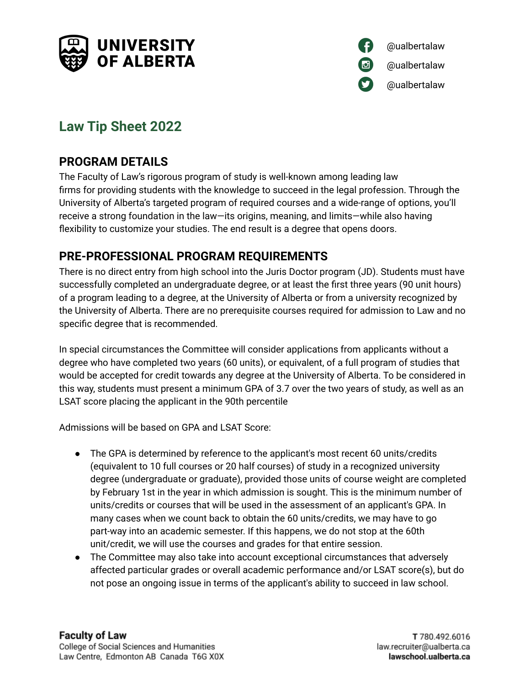



# **Law Tip Sheet 2022**

### **PROGRAM DETAILS**

The Faculty of Law's rigorous program of study is well-known among leading law firms for providing students with the knowledge to succeed in the legal profession. Through the University of Alberta's targeted program of required courses and a wide-range of options, you'll receive a strong foundation in the law—its origins, meaning, and limits—while also having flexibility to customize your studies. The end result is a degree that opens doors.

#### **PRE-PROFESSIONAL PROGRAM REQUIREMENTS**

There is no direct entry from high school into the Juris Doctor program (JD). Students must have successfully completed an undergraduate degree, or at least the first three years (90 unit hours) of a program leading to a degree, at the University of Alberta or from a university recognized by the University of Alberta. There are no prerequisite courses required for admission to Law and no specific degree that is recommended.

In special circumstances the Committee will consider applications from applicants without a degree who have completed two years (60 units), or equivalent, of a full program of studies that would be accepted for credit towards any degree at the University of Alberta. To be considered in this way, students must present a minimum GPA of 3.7 over the two years of study, as well as an LSAT score placing the applicant in the 90th percentile

Admissions will be based on GPA and LSAT Score:

- The GPA is determined by reference to the applicant's most recent 60 units/credits (equivalent to 10 full courses or 20 half courses) of study in a recognized university degree (undergraduate or graduate), provided those units of course weight are completed by February 1st in the year in which admission is sought. This is the minimum number of units/credits or courses that will be used in the assessment of an applicant's GPA. In many cases when we count back to obtain the 60 units/credits, we may have to go part-way into an academic semester. If this happens, we do not stop at the 60th unit/credit, we will use the courses and grades for that entire session.
- The Committee may also take into account exceptional circumstances that adversely affected particular grades or overall academic performance and/or LSAT score(s), but do not pose an ongoing issue in terms of the applicant's ability to succeed in law school.